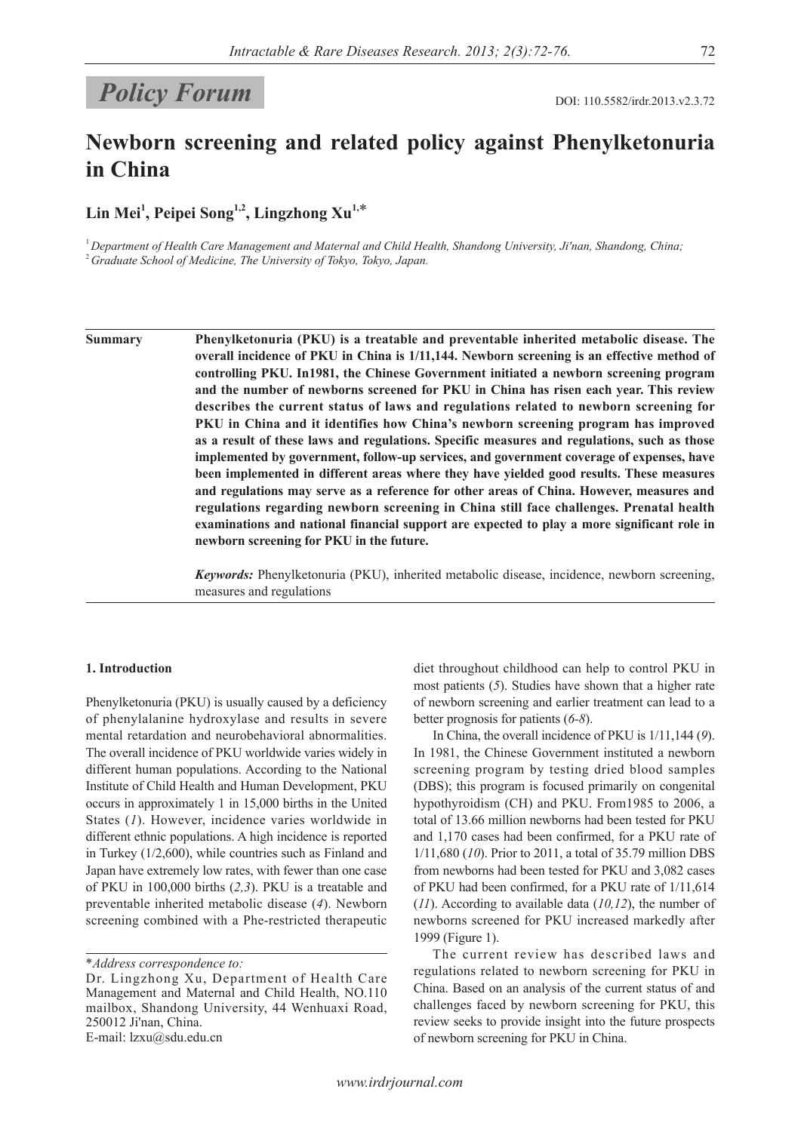# **Policy Forum** DOI: 110.5582/irdr.2013.v2.3.72

## **Newborn screening and related policy against Phenylketonuria in China**

**Lin Mei1 , Peipei Song1,2, Lingzhong Xu1,**\*

<sup>1</sup>*Department of Health Care Management and Maternal and Child Health, Shandong University, Ji'nan, Shandong, China;* <sup>2</sup>*Graduate School of Medicine, The University of Tokyo, Tokyo, Japan.*

**Summary Phenylketonuria (PKU) is a treatable and preventable inherited metabolic disease. The overall incidence of PKU in China is 1/11,144. Newborn screening is an effective method of controlling PKU. In1981, the Chinese Government initiated a newborn screening program and the number of newborns screened for PKU in China has risen each year. This review describes the current status of laws and regulations related to newborn screening for PKU in China and it identifies how China's newborn screening program has improved as a result of these laws and regulations. Specific measures and regulations, such as those implemented by government, follow-up services, and government coverage of expenses, have been implemented in different areas where they have yielded good results. These measures and regulations may serve as a reference for other areas of China. However, measures and regulations regarding newborn screening in China still face challenges. Prenatal health examinations and national financial support are expected to play a more significant role in newborn screening for PKU in the future.**

> *Keywords:* Phenylketonuria (PKU), inherited metabolic disease, incidence, newborn screening, measures and regulations

## **1. Introduction**

Phenylketonuria (PKU) is usually caused by a deficiency of phenylalanine hydroxylase and results in severe mental retardation and neurobehavioral abnormalities. The overall incidence of PKU worldwide varies widely in different human populations. According to the National Institute of Child Health and Human Development, PKU occurs in approximately 1 in 15,000 births in the United States (*1*). However, incidence varies worldwide in different ethnic populations. A high incidence is reported in Turkey (1/2,600), while countries such as Finland and Japan have extremely low rates, with fewer than one case of PKU in 100,000 births (*2,3*). PKU is a treatable and preventable inherited metabolic disease (*4*). Newborn screening combined with a Phe-restricted therapeutic

\**Address correspondence to:*

*www.irdrjournal.com*

diet throughout childhood can help to control PKU in most patients (*5*). Studies have shown that a higher rate of newborn screening and earlier treatment can lead to a better prognosis for patients (*6-8*).

In China, the overall incidence of PKU is 1/11,144 (*9*). In 1981, the Chinese Government instituted a newborn screening program by testing dried blood samples (DBS); this program is focused primarily on congenital hypothyroidism (CH) and PKU. From1985 to 2006, a total of 13.66 million newborns had been tested for PKU and 1,170 cases had been confirmed, for a PKU rate of 1/11,680 (*10*). Prior to 2011, a total of 35.79 million DBS from newborns had been tested for PKU and 3,082 cases of PKU had been confirmed, for a PKU rate of 1/11,614 (*11*). According to available data (*10,12*), the number of newborns screened for PKU increased markedly after 1999 (Figure 1).

The current review has described laws and regulations related to newborn screening for PKU in China. Based on an analysis of the current status of and challenges faced by newborn screening for PKU, this review seeks to provide insight into the future prospects of newborn screening for PKU in China.

Dr. Lingzhong Xu, Department of Health Care Management and Maternal and Child Health, NO.110 mailbox, Shandong University, 44 Wenhuaxi Road, 250012 Ji'nan, China. E-mail: lzxu@sdu.edu.cn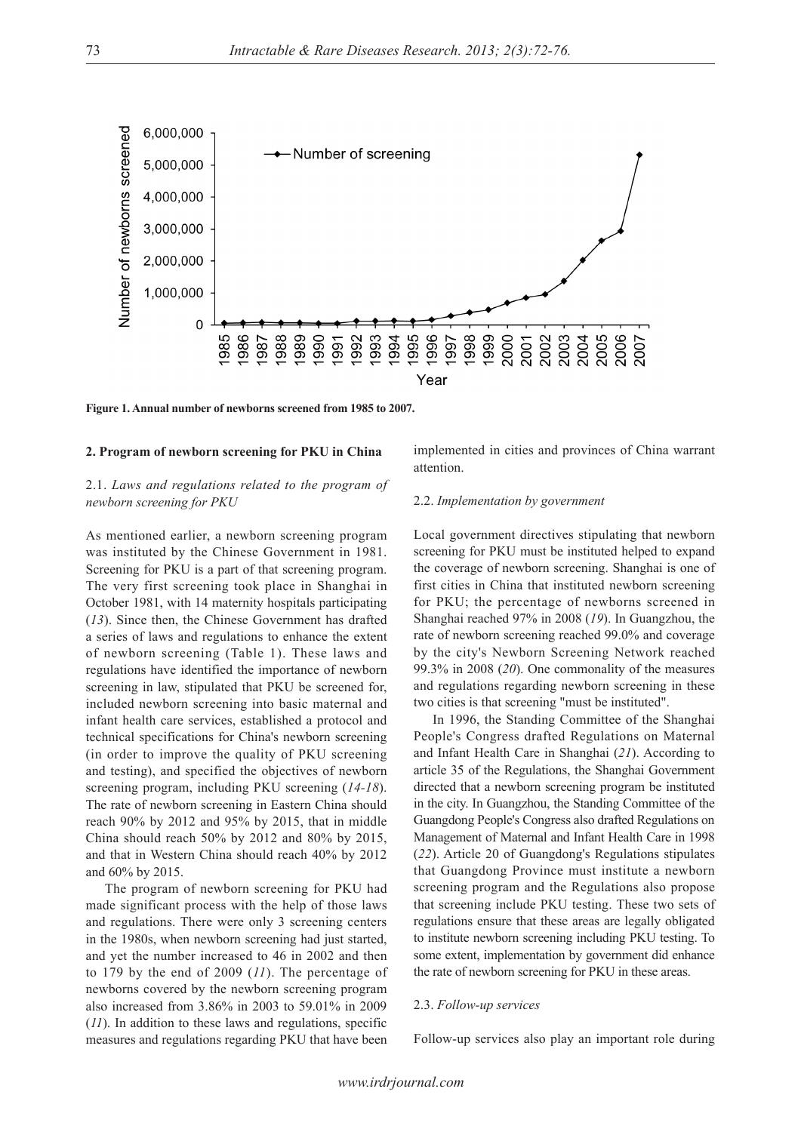

**Figure 1. Annual number of newborns screened from 1985 to 2007.**

#### **2. Program of newborn screening for PKU in China**

## 2.1. *Laws and regulations related to the program of newborn screening for PKU*

As mentioned earlier, a newborn screening program was instituted by the Chinese Government in 1981. Screening for PKU is a part of that screening program. The very first screening took place in Shanghai in October 1981, with 14 maternity hospitals participating (*13*). Since then, the Chinese Government has drafted a series of laws and regulations to enhance the extent of newborn screening (Table 1). These laws and regulations have identified the importance of newborn screening in law, stipulated that PKU be screened for, included newborn screening into basic maternal and infant health care services, established a protocol and technical specifications for China's newborn screening (in order to improve the quality of PKU screening and testing), and specified the objectives of newborn screening program, including PKU screening (*14-18*). The rate of newborn screening in Eastern China should reach 90% by 2012 and 95% by 2015, that in middle China should reach 50% by 2012 and 80% by 2015, and that in Western China should reach 40% by 2012 and 60% by 2015.

The program of newborn screening for PKU had made significant process with the help of those laws and regulations. There were only 3 screening centers in the 1980s, when newborn screening had just started, and yet the number increased to 46 in 2002 and then to 179 by the end of 2009 (*11*). The percentage of newborns covered by the newborn screening program also increased from 3.86% in 2003 to 59.01% in 2009 (*11*). In addition to these laws and regulations, specific measures and regulations regarding PKU that have been

implemented in cities and provinces of China warrant attention.

#### 2.2. *Implementation by government*

Local government directives stipulating that newborn screening for PKU must be instituted helped to expand the coverage of newborn screening. Shanghai is one of first cities in China that instituted newborn screening for PKU; the percentage of newborns screened in Shanghai reached 97% in 2008 (*19*). In Guangzhou, the rate of newborn screening reached 99.0% and coverage by the city's Newborn Screening Network reached 99.3% in 2008 (*20*). One commonality of the measures and regulations regarding newborn screening in these two cities is that screening "must be instituted".

In 1996, the Standing Committee of the Shanghai People's Congress drafted Regulations on Maternal and Infant Health Care in Shanghai (*21*). According to article 35 of the Regulations, the Shanghai Government directed that a newborn screening program be instituted in the city. In Guangzhou, the Standing Committee of the Guangdong People's Congress also drafted Regulations on Management of Maternal and Infant Health Care in 1998 (*22*). Article 20 of Guangdong's Regulations stipulates that Guangdong Province must institute a newborn screening program and the Regulations also propose that screening include PKU testing. These two sets of regulations ensure that these areas are legally obligated to institute newborn screening including PKU testing. To some extent, implementation by government did enhance the rate of newborn screening for PKU in these areas.

#### 2.3. *Follow-up services*

Follow-up services also play an important role during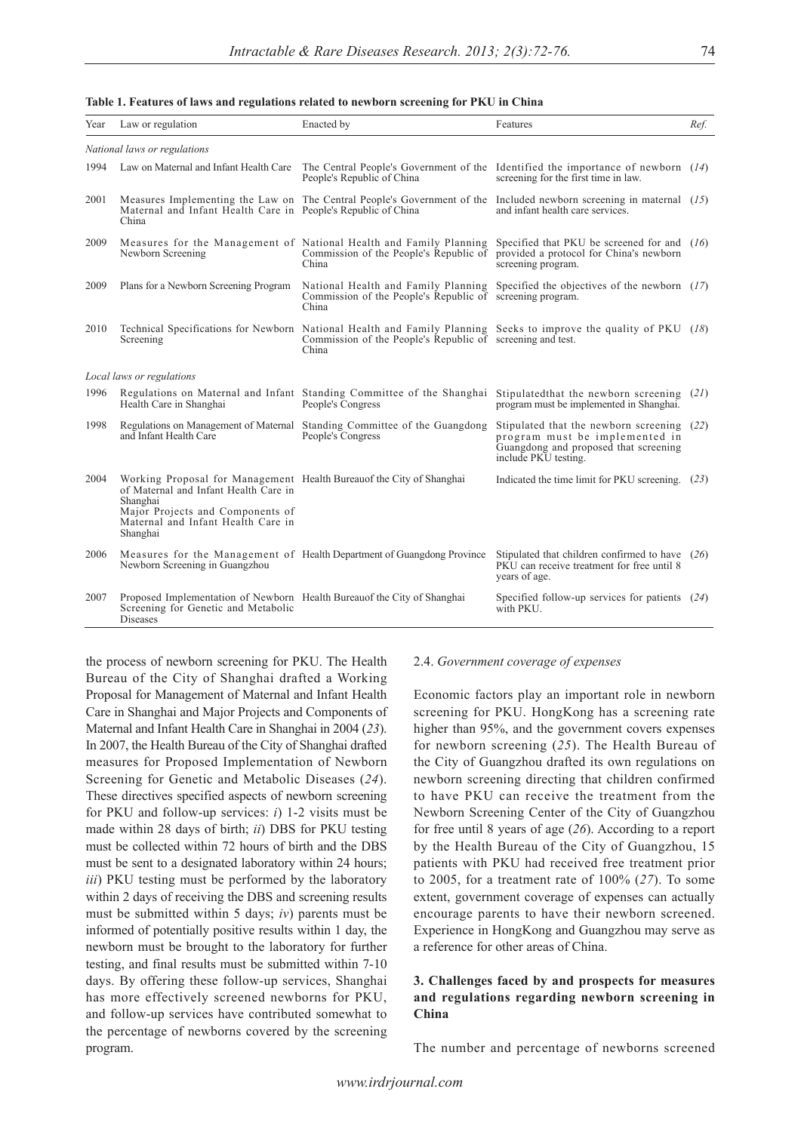#### **Table 1. Features of laws and regulations related to newborn screening for PKU in China**

| Year                         | Law or regulation                                                                                                                                                                                               | Enacted by                                                                                                                                                                               | Features                                                                                                                                 | Ref. |
|------------------------------|-----------------------------------------------------------------------------------------------------------------------------------------------------------------------------------------------------------------|------------------------------------------------------------------------------------------------------------------------------------------------------------------------------------------|------------------------------------------------------------------------------------------------------------------------------------------|------|
| National laws or regulations |                                                                                                                                                                                                                 |                                                                                                                                                                                          |                                                                                                                                          |      |
| 1994                         | Law on Maternal and Infant Health Care                                                                                                                                                                          | People's Republic of China                                                                                                                                                               | The Central People's Government of the Identified the importance of newborn $(14)$<br>screening for the first time in law.               |      |
| 2001                         | Maternal and Infant Health Care in People's Republic of China<br>China                                                                                                                                          | Measures Implementing the Law on The Central People's Government of the Included newborn screening in maternal (15)                                                                      | and infant health care services.                                                                                                         |      |
| 2009                         | Newborn Screening                                                                                                                                                                                               | Measures for the Management of National Health and Family Planning<br>Commission of the People's Republic of<br>China                                                                    | Specified that PKU be screened for and $(16)$<br>provided a protocol for China's newborn<br>screening program.                           |      |
| 2009                         | Plans for a Newborn Screening Program                                                                                                                                                                           | National Health and Family Planning<br>Commission of the People's Republic of screening program.<br>China                                                                                | Specified the objectives of the newborn $(17)$                                                                                           |      |
| 2010                         | Screening                                                                                                                                                                                                       | Technical Specifications for Newborn National Health and Family Planning Seeks to improve the quality of PKU (18)<br>Commission of the People's Republic of screening and test.<br>China |                                                                                                                                          |      |
| Local laws or regulations    |                                                                                                                                                                                                                 |                                                                                                                                                                                          |                                                                                                                                          |      |
| 1996                         | Health Care in Shanghai                                                                                                                                                                                         | Regulations on Maternal and Infant Standing Committee of the Shanghai Stipulated that the newborn screening (21)<br>People's Congress                                                    | program must be implemented in Shanghai.                                                                                                 |      |
| 1998                         | and Infant Health Care                                                                                                                                                                                          | Regulations on Management of Maternal Standing Committee of the Guangdong<br>People's Congress                                                                                           | Stipulated that the newborn screening<br>program must be implemented in<br>Guangdong and proposed that screening<br>include PKU testing. | (22) |
| 2004                         | Working Proposal for Management Health Bureauof the City of Shanghai<br>of Maternal and Infant Health Care in<br>Shanghai<br>Major Projects and Components of<br>Maternal and Infant Health Care in<br>Shanghai |                                                                                                                                                                                          | Indicated the time limit for PKU screening. (23)                                                                                         |      |
| 2006                         | Newborn Screening in Guangzhou                                                                                                                                                                                  | Measures for the Management of Health Department of Guangdong Province                                                                                                                   | Stipulated that children confirmed to have $(26)$<br>PKU can receive treatment for free until 8<br>years of age.                         |      |
| 2007                         | Proposed Implementation of Newborn Health Bureauof the City of Shanghai<br>Screening for Genetic and Metabolic<br>Diseases                                                                                      |                                                                                                                                                                                          | Specified follow-up services for patients $(24)$<br>with PKU.                                                                            |      |

the process of newborn screening for PKU. The Health Bureau of the City of Shanghai drafted a Working Proposal for Management of Maternal and Infant Health Care in Shanghai and Major Projects and Components of Maternal and Infant Health Care in Shanghai in 2004 (*23*). In 2007, the Health Bureau of the City of Shanghai drafted measures for Proposed Implementation of Newborn Screening for Genetic and Metabolic Diseases (*24*). These directives specified aspects of newborn screening for PKU and follow-up services: *i*) 1-2 visits must be made within 28 days of birth; *ii*) DBS for PKU testing must be collected within 72 hours of birth and the DBS must be sent to a designated laboratory within 24 hours; *iii*) PKU testing must be performed by the laboratory within 2 days of receiving the DBS and screening results must be submitted within 5 days; *iv*) parents must be informed of potentially positive results within 1 day, the newborn must be brought to the laboratory for further testing, and final results must be submitted within 7-10 days. By offering these follow-up services, Shanghai has more effectively screened newborns for PKU, and follow-up services have contributed somewhat to the percentage of newborns covered by the screening program.

#### 2.4. *Government coverage of expenses*

Economic factors play an important role in newborn screening for PKU. HongKong has a screening rate higher than 95%, and the government covers expenses for newborn screening (*25*). The Health Bureau of the City of Guangzhou drafted its own regulations on newborn screening directing that children confirmed to have PKU can receive the treatment from the Newborn Screening Center of the City of Guangzhou for free until 8 years of age (*26*). According to a report by the Health Bureau of the City of Guangzhou, 15 patients with PKU had received free treatment prior to 2005, for a treatment rate of 100% (*27*). To some extent, government coverage of expenses can actually encourage parents to have their newborn screened. Experience in HongKong and Guangzhou may serve as a reference for other areas of China.

## **3. Challenges faced by and prospects for measures and regulations regarding newborn screening in China**

The number and percentage of newborns screened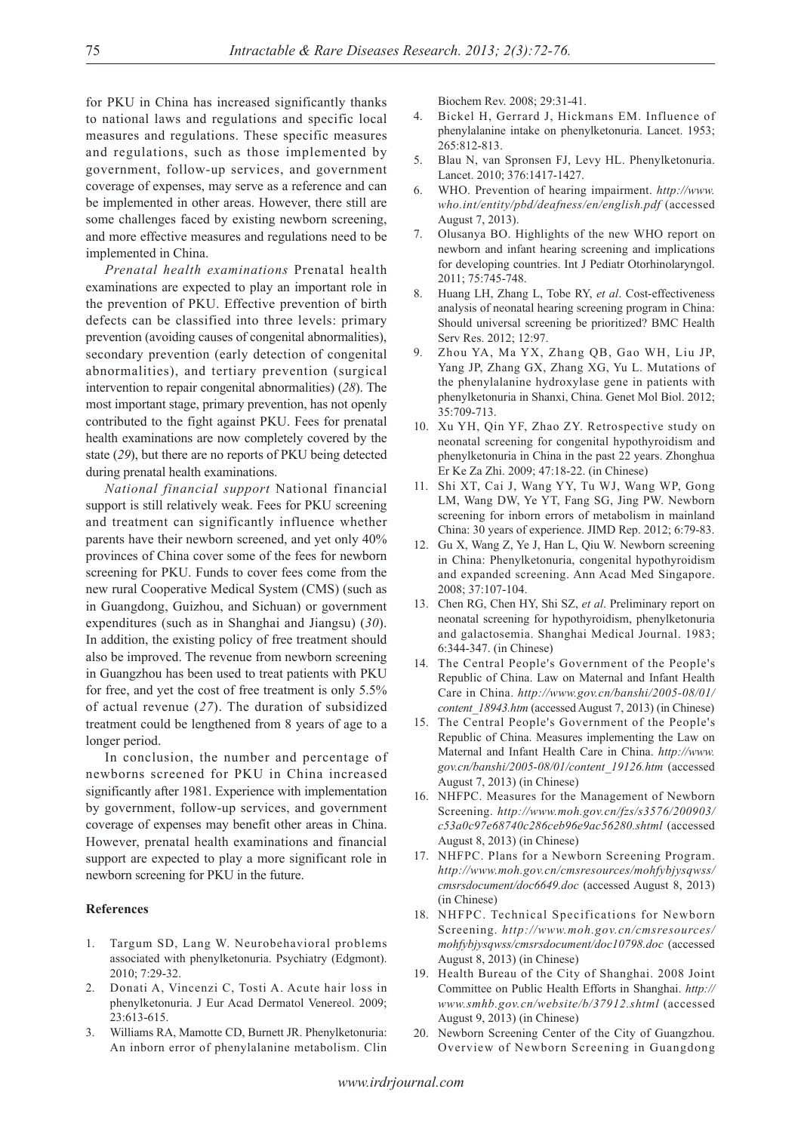for PKU in China has increased significantly thanks to national laws and regulations and specific local measures and regulations. These specific measures and regulations, such as those implemented by government, follow-up services, and government coverage of expenses, may serve as a reference and can be implemented in other areas. However, there still are some challenges faced by existing newborn screening, and more effective measures and regulations need to be implemented in China.

*Prenatal health examinations* Prenatal health examinations are expected to play an important role in the prevention of PKU. Effective prevention of birth defects can be classified into three levels: primary prevention (avoiding causes of congenital abnormalities), secondary prevention (early detection of congenital abnormalities), and tertiary prevention (surgical intervention to repair congenital abnormalities) (*28*). The most important stage, primary prevention, has not openly contributed to the fight against PKU. Fees for prenatal health examinations are now completely covered by the state (*29*), but there are no reports of PKU being detected during prenatal health examinations.

*National financial support* National financial support is still relatively weak. Fees for PKU screening and treatment can significantly influence whether parents have their newborn screened, and yet only 40% provinces of China cover some of the fees for newborn screening for PKU. Funds to cover fees come from the new rural Cooperative Medical System (CMS) (such as in Guangdong, Guizhou, and Sichuan) or government expenditures (such as in Shanghai and Jiangsu) (*30*). In addition, the existing policy of free treatment should also be improved. The revenue from newborn screening in Guangzhou has been used to treat patients with PKU for free, and yet the cost of free treatment is only 5.5% of actual revenue (*27*). The duration of subsidized treatment could be lengthened from 8 years of age to a longer period.

In conclusion, the number and percentage of newborns screened for PKU in China increased significantly after 1981. Experience with implementation by government, follow-up services, and government coverage of expenses may benefit other areas in China. However, prenatal health examinations and financial support are expected to play a more significant role in newborn screening for PKU in the future.

### **References**

- 1. Targum SD, Lang W. Neurobehavioral problems associated with phenylketonuria. Psychiatry (Edgmont). 2010; 7:29-32.
- 2. Donati A, Vincenzi C, Tosti A. Acute hair loss in phenylketonuria. J Eur Acad Dermatol Venereol. 2009; 23:613-615.
- 3. Williams RA, Mamotte CD, Burnett JR. Phenylketonuria: An inborn error of phenylalanine metabolism. Clin

Biochem Rev. 2008; 29:31-41.

- 4. Bickel H, Gerrard J, Hickmans EM. Influence of phenylalanine intake on phenylketonuria. Lancet. 1953; 265:812-813.
- 5. Blau N, van Spronsen FJ, Levy HL. Phenylketonuria. Lancet. 2010; 376:1417-1427.
- 6. WHO. Prevention of hearing impairment. *http://www. who.int/entity/pbd/deafness/en/english.pdf* (accessed August 7, 2013).
- 7. Olusanya BO. Highlights of the new WHO report on newborn and infant hearing screening and implications for developing countries. Int J Pediatr Otorhinolaryngol. 2011; 75:745-748.
- 8. Huang LH, Zhang L, Tobe RY, *et al*. Cost-effectiveness analysis of neonatal hearing screening program in China: Should universal screening be prioritized? BMC Health Serv Res. 2012; 12:97.
- 9. Zhou YA, Ma YX, Zhang QB, Gao WH, Liu JP, Yang JP, Zhang GX, Zhang XG, Yu L. Mutations of the phenylalanine hydroxylase gene in patients with phenylketonuria in Shanxi, China. Genet Mol Biol. 2012; 35:709-713.
- 10. Xu YH, Qin YF, Zhao ZY. Retrospective study on neonatal screening for congenital hypothyroidism and phenylketonuria in China in the past 22 years. Zhonghua Er Ke Za Zhi. 2009; 47:18-22. (in Chinese)
- 11. Shi XT, Cai J, Wang YY, Tu WJ, Wang WP, Gong LM, Wang DW, Ye YT, Fang SG, Jing PW. Newborn screening for inborn errors of metabolism in mainland China: 30 years of experience. JIMD Rep. 2012; 6:79-83.
- 12. Gu X, Wang Z, Ye J, Han L, Qiu W. Newborn screening in China: Phenylketonuria, congenital hypothyroidism and expanded screening. Ann Acad Med Singapore. 2008; 37:107-104.
- 13. Chen RG, Chen HY, Shi SZ, *et al*. Preliminary report on neonatal screening for hypothyroidism, phenylketonuria and galactosemia. Shanghai Medical Journal. 1983; 6:344-347. (in Chinese)
- 14. The Central People's Government of the People's Republic of China. Law on Maternal and Infant Health Care in China. *http://www.gov.cn/banshi/2005-08/01/ content\_18943.htm* (accessed August 7, 2013) (in Chinese)
- 15. The Central People's Government of the People's Republic of China. Measures implementing the Law on Maternal and Infant Health Care in China. *http://www. gov.cn/banshi/2005-08/01/content\_19126.htm* (accessed August 7, 2013) (in Chinese)
- 16. NHFPC. Measures for the Management of Newborn Screening. *http://www.moh.gov.cn/fzs/s3576/200903/ c53a0c97e68740c286ceb96e9ac56280.shtml* (accessed August 8, 2013) (in Chinese)
- 17. NHFPC. Plans for a Newborn Screening Program. *http://www.moh.gov.cn/cmsresources/mohfybjysqwss/ cmsrsdocument/doc6649.doc* (accessed August 8, 2013) (in Chinese)
- 18. NHFPC. Technical Specifications for Newborn Screening. *http://www.moh.gov.cn/cmsresources/ mohfybjysqwss/cmsrsdocument/doc10798.doc* (accessed August 8, 2013) (in Chinese)
- 19. Health Bureau of the City of Shanghai. 2008 Joint Committee on Public Health Efforts in Shanghai. *http:// www.smhb.gov.cn/website/b/37912.shtml* (accessed August 9, 2013) (in Chinese)
- 20. Newborn Screening Center of the City of Guangzhou. Overview of Newborn Screening in Guangdong